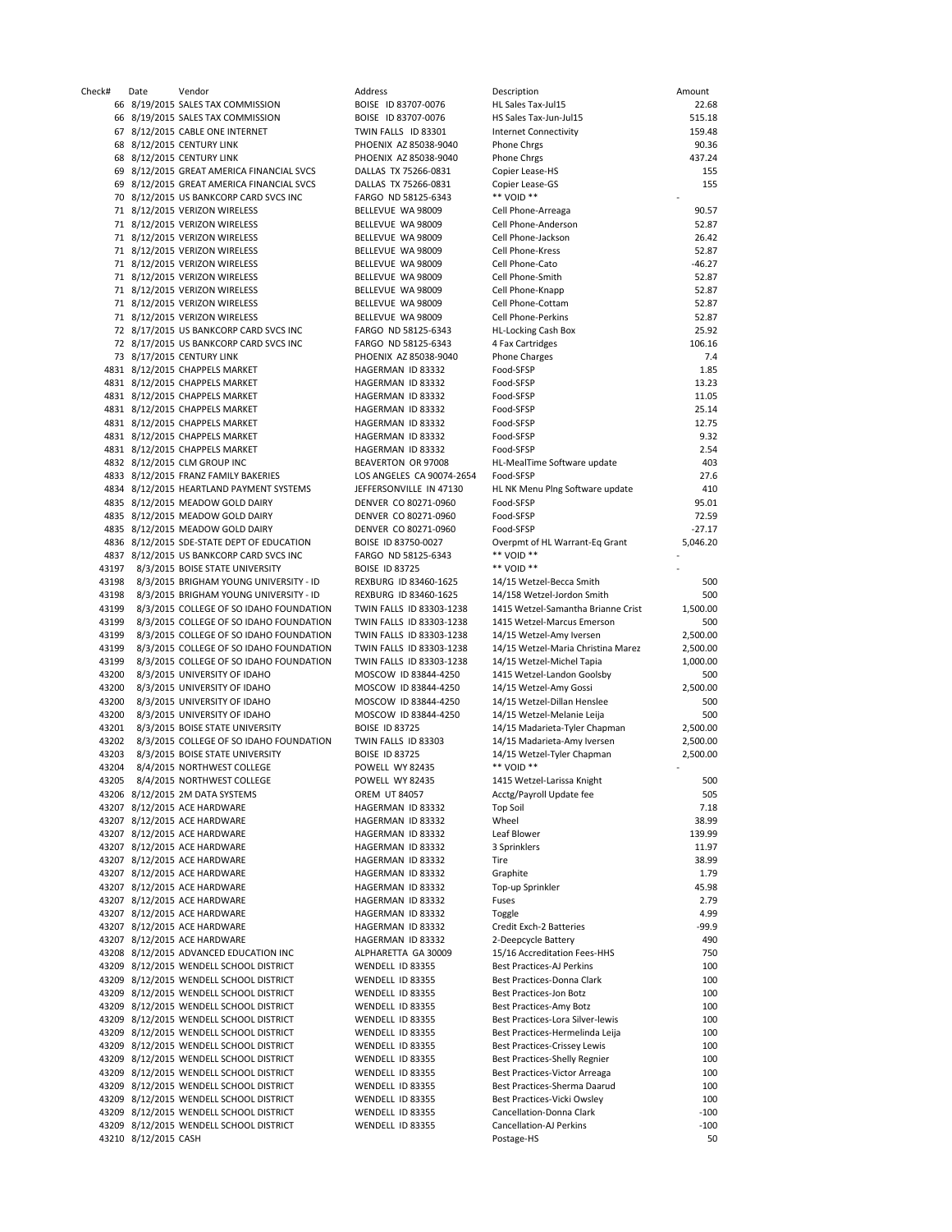Check# Date Vendor Address Description Amount 66 8/19/2015 SALES TAX COMMISSION BOISE ID 83707-0076 HI 66 8/19/2015 SALES TAX COMMISSION BOISE ID 83707-0076 H 67 8/12/2015 CABLE ONE INTERNET TWIN FALLS ID 83301 In 68 8/12/2015 CENTURY LINK **PHOENIX AZ 85038-9040** Phone Christ 90.36 68 8/12/2015 CENTURY LINK PHOENIX AZ 85038-9040 Phone Chrgs 437.24 69 8/12/2015 GREAT AMERICA FINANCIAL SVCS DALLAS TX 75266-0831 Co 69 8/12/2015 GREAT AMERICA FINANCIAL SVCS DALLAS TX 75266-0831 CONSERVED ASSOCIATE AND STRUCK THE LEASE OF STR<br>TO R/12/2015 US BANKCORP CARD SVCS INC FARGO ND 58125-6343 70 8/12/2015 US BANKCORP CARD SVCS INC 71 8/12/2015 VERIZON WIRELESS BELLEVUE WA 98009 Ce 71 8/12/2015 VERIZON WIRELESS BELLEVUE WA 98009 Cell Phone-Anderson 52.87 71 8/12/2015 VERIZON WIRELESS 71 8/12/2015 VERIZON WIRELESS BELLEVUE WA 98009 Ce 71 8/12/2015 VERIZON WIRELESS BELLEVUE WA 98009 Ce 71 8/12/2015 VERIZON WIRELESS BELLEVUE WA 98009 Ce 71 8/12/2015 VERIZON WIRELESS BELLEVUE WA 98009 Ce 71 8/12/2015 VERIZON WIRELESS BELLEVUE WA 98009 Ce 71 8/12/2015 VERIZON WIRELESS BELLEVUE WA 98009 Ce 72 8/17/2015 US BANKCORP CARD SVCS INC FARGO ND 58125-6343 HI 72 8/17/2015 US BANKCORP CARD SVCS INC FARGO ND 58125-6343 4 73 8/17/2015 CENTURY LINK **PHOENIX AZ 85038-9040** Ph 4831 8/12/2015 CHAPPELS MARKET HAGERMAN ID 83332 Food-SFSP 1.85 4831 8/12/2015 CHAPPELS MARKET HAGERMAN ID 83332 For 4831 8/12/2015 CHAPPELS MARKET HAGERMAN ID 83332 Fo 4831 8/12/2015 CHAPPELS MARKET HAGERMAN ID 83332 Fo 4831 8/12/2015 CHAPPELS MARKET HAGERMAN ID 83332 Fo 4831 8/12/2015 CHAPPELS MARKET HAGERMAN ID 83332 Fo 4831 8/12/2015 CHAPPELS MARKET HAGERMAN ID 83332 Fo 4832 8/12/2015 CLM GROUP INC BEAVERTON OR 97008 H 4833 8/12/2015 FRANZ FAMILY BAKERIES LOS ANGELES CA 90074-2654 FOOD-STAND FOOD-STAND PAYMENT SYSTEMS 20074-2654 FO 4834 8/12/2015 HEARTLAND PAYMENT SYSTEMS JEFFERSONVILLE IN 47130 HI 4835 8/12/2015 MEADOW GOLD DAIRY DENVER CO 80271-0960 For 4835 8/12/2015 MEADOW GOLD DAIRY **DENVER CO 80271-0960** For For 8/271-0960 For Form 72.5959 For PERT 72.5959 For T<br>PENVER CO 80271-0960 For Form 72.599 For Form 72.599 For Form 72.599 For Form 72.5959 For Form 72.5959 For 4835 8/12/2015 MEADOW GOLD DAIRY DENVER CO 80271-0960 Fo 4836 8/12/2015 SDE-STATE DEPT OF EDUCATION BOISE ID 83750-0027 OV 4837 8/12/2015 US BANKCORP CARD SVCS INC FARGO ND 58125-6343 \*\* VOID \*\* - 43197 8/3/2015 BOISE STATE UNIVERSITY BOISE ID 83725 43198 8/3/2015 BRIGHAM YOUNG UNIVERSITY - ID REXBURG ID 83460-1625 14 43198 8/3/2015 BRIGHAM YOUNG UNIVERSITY - ID REXBURG ID 83460-1625 14 43199 8/3/2015 COLLEGE OF SO IDAHO FOUNDATION TWIN FALLS ID 83303-1238 14 43199 8/3/2015 COLLEGE OF SO IDAHO FOUNDATION TWIN FALLS ID 83303-1238 14 43199 8/3/2015 COLLEGE OF SO IDAHO FOUNDATION TWIN FALLS ID 83303-1238 14<br>43199 8/3/2015 COLLEGE OF SO IDAHO FOUNDATION TWIN FALLS ID 83303-1238 14 43199 8/3/2015 COLLEGE OF SO IDAHO FOUNDATION TWIN FALLS ID 83303-1238 14 43199 8/3/2015 COLLEGE OF SO IDAHO FOUNDATION TWIN FALLS ID 83303-1238 14<br>43200 8/3/2015 UNIVERSITY OF IDAHO MOSCOW ID 83844-4250 14 43200 8/3/2015 UNIVERSITY OF IDAHO MOSCOW ID 83844-4250 14 43200 8/3/2015 UNIVERSITY OF IDAHO MOSCOW ID 83844-4250 14 43200 8/3/2015 UNIVERSITY OF IDAHO MOSCOW ID 83844-4250 14<br>43200 8/3/2015 UNIVERSITY OF IDAHO MOSCOW ID 83844-4250 14 43200 8/3/2015 UNIVERSITY OF IDAHO MOSCOW ID 83844-4250 14 43201 8/3/2015 BOISE STATE UNIVERSITY BOISE ID 83725 14 43202 8/3/2015 COLLEGE OF SO IDAHO FOUNDATION TWIN FALLS ID 83303 14 43203 8/3/2015 BOISE STATE UNIVERSITY BOISE ID 83725 14 43204 8/4/2015 NORTHWEST COLLEGE POWELL WY 82435 \*\*\*<br>43205 8/4/2015 NORTHWEST COLLEGE POWELL WY 82435 14 8/4/2015 NORTHWEST COLLEGE 43206 8/12/2015 2M DATA SYSTEMS OREM UT 84057 AccTg/Payroll Update fee 505 Accts 43207 8/12/2015 ACE HARDWARE HAGERMAN ID 83332 Top Soil 7.18 43207 8/12/2015 ACE HARDWARE HAGERMAN ID 83332 43207 8/12/2015 ACE HARDWARE HAGERMAN ID 83332 Le 43207 8/12/2015 ACE HARDWARE HAGERMAN ID 83332 3 43207 8/12/2015 ACE HARDWARE HAGERMAN ID 83332 Tire 38.999 43207 8/12/2015 ACE HARDWARE HAGERMAN ID 83332 G 43207 8/12/2015 ACE HARDWARE HAGERMAN ID 83332 To 43207 8/12/2015 ACE HARDWARE HAGERMAN ID 83332 Fuses 2.799 43207 8/12/2015 ACE HARDWARE HAGERMAN ID 83332 To 43207 8/12/2015 ACE HARDWARE HAGERMAN ID 83332 Credit Exchange -99.93.93. 43207 8/12/2015 ACE HARDWARE HAGERMAN ID 83332 2-43208 8/12/2015 ADVANCED EDUCATION INC ALPHARETTA GA 30009 15 43209 8/12/2015 WENDELL SCHOOL DISTRICT WENDELL ID 83355 Best Practices 43209 8/12/2015 WENDELL SCHOOL DISTRICT WENDELL ID 83355 Best Practices 43209 8/12/2015 WENDELL SCHOOL DISTRICT WENDELL ID 83355 Be 43209 8/12/2015 WENDELL SCHOOL DISTRICT WENDELL ID 83355 Best Practices 43209 8/12/2015 WENDELL SCHOOL DISTRICT WENDELL ID 83355 Be 43209 8/12/2015 WENDELL SCHOOL DISTRICT WENDELL ID 83355 Best Practices 43209 8/12/2015 WENDELL SCHOOL DISTRICT WENDELL ID 83355 Best Practices 43209 8/12/2015 WENDELL SCHOOL DISTRICT WENDELL ID 83355 Best PRACTICES-SHELL ID 83355 Best PRACTICES-SHELL ID BELLY REGNIER ID BELLY REGNIER ID BELLY REGNIER ID BELLY REGNIER ID BELLY REGNIER ID BELLY REGNIER ID BELLY REG 43209 8/12/2015 WENDELL SCHOOL DISTRICT WENDELL ID 83355 Be 43209 8/12/2015 WENDELL SCHOOL DISTRICT WENDELL ID 83355 Best Practices 43209 8/12/2015 WENDELL SCHOOL DISTRICT WENDELL ID 83355 Best Practices-Vicki Owsley 100 43209 8/12/2015 WENDELL SCHOOL DISTRICT WENDELL ID 83355 Cancel 43209 8/12/2015 WENDELL SCHOOL DISTRICT WENDELL ID 83355 Ca 43210 8/12/2015 CASH POSTAGE-HS 500 ST 500 ST 500 ST 500 ST 500 ST 500 ST 500 ST 500 ST 500 ST 500 ST 500 ST 50

| escription                                                   | Amount               |
|--------------------------------------------------------------|----------------------|
| L Sales Tax-Jul15<br>S Sales Tax-Jun-Jul15                   | 22.68<br>515.18      |
| ternet Connectivity                                          | 159.48               |
| one Chrgs                                                    | 90.36                |
| one Chrgs                                                    | 437.24               |
| opier Lease-HS                                               | 155<br>155           |
| opier Lease-GS<br>* VOID **                                  |                      |
| ell Phone-Arreaga                                            | 90.57                |
| ell Phone-Anderson                                           | 52.87                |
| ell Phone-Jackson                                            | 26.42                |
| ell Phone-Kress                                              | 52.87                |
| ell Phone-Cato<br>ell Phone-Smith                            | $-46.27$<br>52.87    |
| ell Phone-Knapp                                              | 52.87                |
| ell Phone-Cottam                                             | 52.87                |
| ell Phone-Perkins                                            | 52.87                |
| L-Locking Cash Box                                           | 25.92                |
| <b>Fax Cartridges</b><br>none Charges                        | 106.16<br>7.4        |
| od-SFSP                                                      | 1.85                 |
| od-SFSP                                                      | 13.23                |
| od-SFSP                                                      | 11.05                |
| od-SFSP                                                      | 25.14                |
| od-SFSP<br>od-SFSP                                           | 12.75<br>9.32        |
| od-SFSP                                                      | 2.54                 |
| L-MealTime Software update                                   | 403                  |
| od-SFSP                                                      | 27.6                 |
| L NK Menu Plng Software update                               | 410                  |
| od-SFSP<br>od-SFSP                                           | 95.01<br>72.59       |
| od-SFSP                                                      | $-27.17$             |
| verpmt of HL Warrant-Eq Grant                                | 5,046.20             |
| * VOID **                                                    |                      |
| * VOID **                                                    |                      |
| 1/15 Wetzel-Becca Smith<br>1/158 Wetzel-Jordon Smith         | 500<br>500           |
| 115 Wetzel-Samantha Brianne Crist                            | 1,500.00             |
| 115 Wetzel-Marcus Emerson                                    | 500                  |
| 1/15 Wetzel-Amy Iversen                                      | 2,500.00             |
| 1/15 Wetzel-Maria Christina Marez                            | 2,500.00             |
| 1/15 Wetzel-Michel Tapia<br>115 Wetzel-Landon Goolsby        | 1,000.00<br>500      |
| 1/15 Wetzel-Amy Gossi                                        | 2,500.00             |
| 1/15 Wetzel-Dillan Henslee                                   | 500                  |
| 1/15 Wetzel-Melanie Leija                                    | 500                  |
| 1/15 Madarieta-Tyler Chapman                                 | 2,500.00             |
| 1/15 Madarieta-Amy Iversen<br>1/15 Wetzel-Tyler Chapman      | 2,500.00<br>2,500.00 |
| * VOID **                                                    |                      |
| 115 Wetzel-Larissa Knight                                    | 500                  |
| cctg/Payroll Update fee                                      | 505                  |
| pp Soil                                                      | 7.18                 |
| 'heel<br>af Blower                                           | 38.99<br>139.99      |
| Sprinklers                                                   | 11.97                |
| re                                                           | 38.99                |
| raphite                                                      | 1.79                 |
| วp-up Sprinkler                                              | 45.98                |
| ises                                                         | 2.79<br>4.99         |
| oggle<br>edit Exch-2 Batteries                               | -99.9                |
| Deepcycle Battery                                            | 490                  |
| 5/16 Accreditation Fees-HHS                                  | 750                  |
| est Practices-AJ Perkins                                     | 100                  |
| est Practices-Donna Clark<br>est Practices-Jon Botz          | 100<br>100           |
| est Practices-Amy Botz                                       | 100                  |
| est Practices-Lora Silver-lewis                              | 100                  |
| est Practices-Hermelinda Leija                               | 100                  |
| est Practices-Crissey Lewis                                  | 100                  |
| est Practices-Shelly Regnier<br>est Practices-Victor Arreaga | 100<br>100           |
| est Practices-Sherma Daarud                                  | 100                  |
| est Practices-Vicki Owsley                                   | 100                  |
| ancellation-Donna Clark                                      | -100                 |
| ancellation-AJ Perkins                                       | -100                 |
| ostage-HS                                                    | 50                   |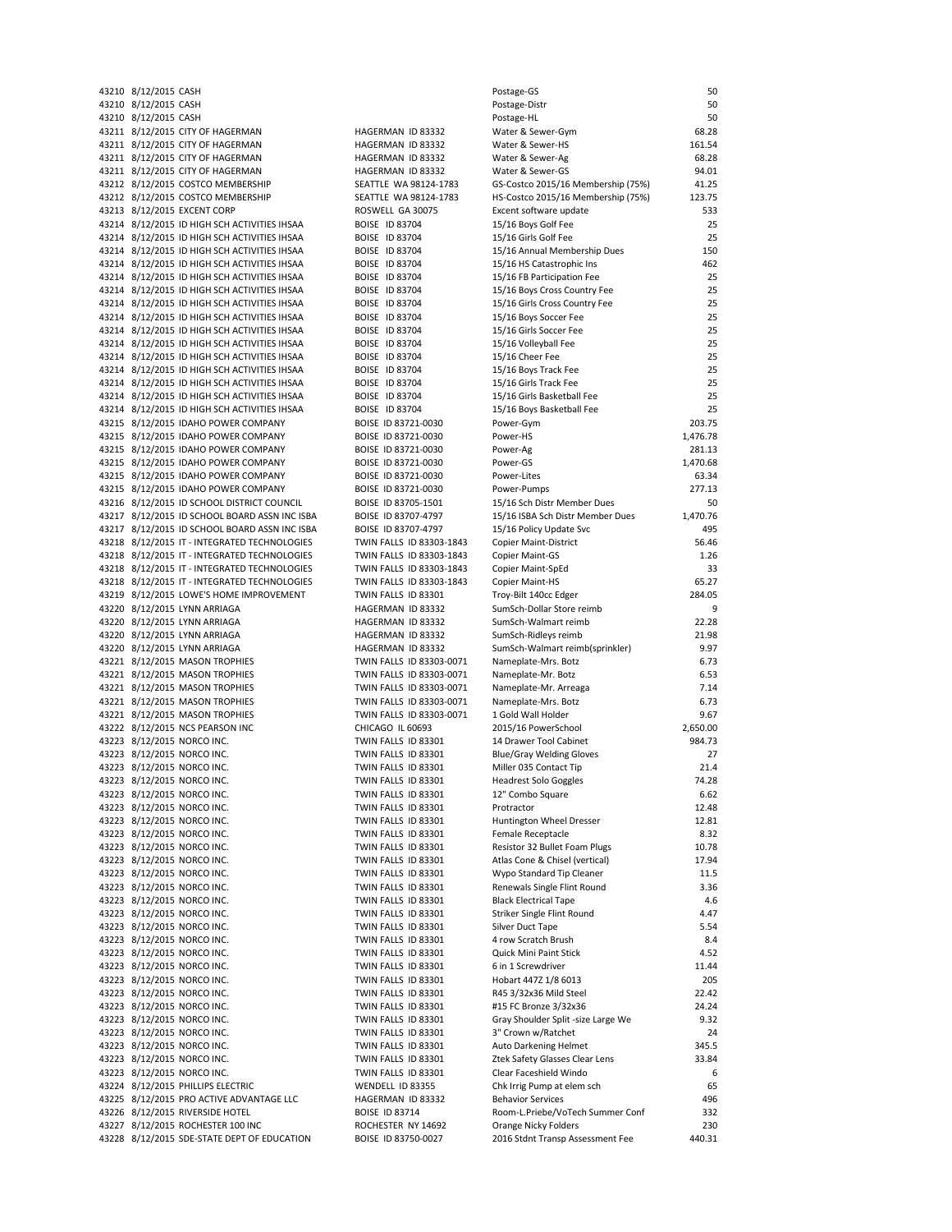43210 8/12/2015 CASH Postage-GS 500 September 50 September 50 September 50 September 50 September 50 September 50 43210 8/12/2015 CASH 43210 8/12/2015 CASH 43211 8/12/2015 CITY OF HAGERMAN AND HAGERMAN ID 83332 43211 8/12/2015 CITY OF HAGERMAN HAGERMAN ID 83332 43211 8/12/2015 CITY OF HAGERMAN HAGERMAN ID 83332 Water & Sewer-Ag 68.28 43211 8/12/2015 CITY OF HAGERMAN MAGERMAN HAGERMAN ID 83332 43212 8/12/2015 COSTCO MEMBERSHIP SEATTLE WA 98124-1783<br>43212 8/12/2015 COSTCO MEMBERSHIP SEATTLE WA 98124-1783 43212 8/12/2015 COSTCO MEMBERSHIP SEATTLE WA 98124-1783 H 43213 8/12/2015 EXCENT CORP ROSWELL GA 30075 F 43214 8/12/2015 ID HIGH SCH ACTIVITIES IHSAA BOISE ID 83704<br>43214 8/12/2015 ID HIGH SCH ACTIVITIES IHSAA BOISE ID 83704 43214 8/12/2015 ID HIGH SCH ACTIVITIES IHSAA 43214 8/12/2015 ID HIGH SCH ACTIVITIES IHSAA BOISE ID 83704 43214 8/12/2015 ID HIGH SCH ACTIVITIES IHSAA BOISE ID 83704 43214 8/12/2015 ID HIGH SCH ACTIVITIES IHSAA BOISE ID 83704 43214 8/12/2015 ID HIGH SCH ACTIVITIES IHSAA BOISE ID 83704 43214 8/12/2015 ID HIGH SCH ACTIVITIES IHSAA BOISE ID 83704 43214 8/12/2015 ID HIGH SCH ACTIVITIES IHSAA BOISE ID 83704 43214 8/12/2015 ID HIGH SCH ACTIVITIES IHSAA BOISE ID 83704 43214 8/12/2015 ID HIGH SCH ACTIVITIES IHSAA BOISE ID 83704 43214 8/12/2015 ID HIGH SCH ACTIVITIES IHSAA BOISE ID 83704 43214 8/12/2015 ID HIGH SCH ACTIVITIES IHSAA BOISE ID 83704<br>43214 8/12/2015 ID HIGH SCH ACTIVITIES IHSAA BOISE ID 83704 43214 8/12/2015 ID HIGH SCH ACTIVITIES IHSAA 43214 8/12/2015 ID HIGH SCH ACTIVITIES IHSAA BOISE ID 83704 43214 8/12/2015 ID HIGH SCH ACTIVITIES IHSAA BOISE ID 83704 43215 8/12/2015 IDAHO POWER COMPANY BOISE ID 83721-0030 P 43215 8/12/2015 IDAHO POWER COMPANY BOISE ID 83721-0030 P 43215 8/12/2015 IDAHO POWER COMPANY BOISE ID 83721-0030 P 43215 8/12/2015 IDAHO POWER COMPANY BOISE ID 83721-0030 43215 8/12/2015 IDAHO POWER COMPANY BOISE ID 83721-0030<br>43215 8/12/2015 IDAHO POWER COMPANY BOISE ID 83721-0030 43215 8/12/2015 IDAHO POWER COMPANY 43216 8/12/2015 ID SCHOOL DISTRICT COUNCIL BOISE ID 83705-1501 43217 8/12/2015 ID SCHOOL BOARD ASSN INC ISBA BOISE ID 83707-4797<br>43217 8/12/2015 ID SCHOOL BOARD ASSN INC ISBA BOISE ID 83707-4797 43217 8/12/2015 ID SCHOOL BOARD ASSN INC ISBA 43218 8/12/2015 IT - INTEGRATED TECHNOLOGIES TWIN FALLS ID 83303-1843 C 43218 8/12/2015 IT - INTEGRATED TECHNOLOGIES TWIN FALLS ID 83303-1843 C 43218 8/12/2015 IT - INTEGRATED TECHNOLOGIES TWIN FALLS ID 83303-1843 C 43218 8/12/2015 IT - INTEGRATED TECHNOLOGIES TWIN FALLS ID 83303-1843 43219 8/12/2015 LOWE'S HOME IMPROVEMENT TWIN FALLS ID 83301 43220 8/12/2015 LYNN ARRIAGA **HAGERMAN ID 83332** S 43220 8/12/2015 LYNN ARRIAGA HAGERMAN ID 83332 43220 8/12/2015 LYNN ARRIAGA HAGERMAN ID 83332 S 43220 8/12/2015 LYNN ARRIAGA HAGERMAN ID 83332 43221 8/12/2015 MASON TROPHIES TWIN FALLS ID 83303-0071 43221 8/12/2015 MASON TROPHIES TWIN FALLS ID 83303-0071 43221 8/12/2015 MASON TROPHIES TWIN FALLS ID 83303-0071 N 43221 8/12/2015 MASON TROPHIES TWIN FALLS ID 83303-0071 43221 8/12/2015 MASON TROPHIES TWIN FALLS ID 83303-0071 43222 8/12/2015 NCS PEARSON INC CHICAGO IL 60693 43223 8/12/2015 NORCO INC. TWIN FALLS ID 83301 43223 8/12/2015 NORCO INC. TWIN FALLS ID 83301 43223 8/12/2015 NORCO INC.<br>43223 8/12/2015 NORCO INC. TWIN FALLS ID 83301 43223 8/12/2015 NORCO INC. TWIN FALLS ID 83301 43223 8/12/2015 NORCO INC. TWIN FALLS ID 83301 43223 8/12/2015 NORCO INC.<br>43223 8/12/2015 NORCO INC. TWIN FALLS ID 83301 43223 8/12/2015 NORCO INC. TWIN FALLS ID 83301 43223 8/12/2015 NORCO INC. TWIN FALLS ID 83301 43223 8/12/2015 NORCO INC. TWIN FALLS ID 83301 Resistor 32 Bullet Foam Plugs 10.78  $43223$   $8/12/2015$  NORCO INC. TWIN FALLS ID 83301 43223 8/12/2015 NORCO INC. TWIN FALLS ID 83301 43223 8/12/2015 NORCO INC. TWIN FALLS ID 83301 43223 8/12/2015 NORCO INC. TWIN FALLS ID 83301 43223 8/12/2015 NORCO INC. TWIN FALLS ID 83301 43223 8/12/2015 NORCO INC. TWIN FALLS ID 83301 43223 8/12/2015 NORCO INC. TWIN FALLS ID 83301 43223 8/12/2015 NORCO INC. TWIN FALLS ID 83301 43223 8/12/2015 NORCO INC. TWIN FALLS ID 83301 6 43223 8/12/2015 NORCO INC. TWIN FALLS ID 83301 43223 8/12/2015 NORCO INC. TWIN FALLS ID 83301 43223 8/12/2015 NORCO INC. TWIN FALLS ID 83301 43223 8/12/2015 NORCO INC. TWIN FALLS ID 83301 43223 8/12/2015 NORCO INC. TWIN FALLS ID 83301 43223 8/12/2015 NORCO INC. TWIN FALLS ID 83301 43223 8/12/2015 NORCO INC.<br>43223 8/12/2015 NORCO INC. TWIN FALLS ID 83301 43223 8/12/2015 NORCO INC. TWIN FALLS ID 83301 43224 8/12/2015 PHILLIPS ELECTRIC WENDELL ID 83355 43225 8/12/2015 PRO ACTIVE ADVANTAGE LLC HAGERMAN ID 83332 Behavior Services 4966 43226 8/12/2015 RIVERSIDE HOTEL BOISE ID 83714 43227 8/12/2015 ROCHESTER 100 INC ROCHESTER NY 14692 C 43228 8/12/2015 SDE-STATE DEPT OF EDUCATION BOISE ID 83750-0027

| ostage-GS                                              | 5                 |
|--------------------------------------------------------|-------------------|
| ostage-Distr                                           | 5                 |
| ostage-HL<br>Nater & Sewer-Gym                         | 5<br>68.28        |
| <b>Nater &amp; Sewer-HS</b>                            | 161.54            |
| Nater & Sewer-Ag                                       | 68.28             |
| Nater & Sewer-GS                                       | 94.0              |
| GS-Costco 2015/16 Membership (75%)                     | 41.2              |
| IS-Costco 2015/16 Membership (75%)                     | 123.7             |
| xcent software update                                  | 533               |
| 15/16 Boys Golf Fee<br>L5/16 Girls Golf Fee            | 2!<br>2!          |
| 15/16 Annual Membership Dues                           | 15                |
| L5/16 HS Catastrophic Ins                              | 46.               |
| 15/16 FB Participation Fee                             | 2!                |
| 15/16 Boys Cross Country Fee                           | 2!                |
| 15/16 Girls Cross Country Fee                          | 2!                |
| L5/16 Boys Soccer Fee                                  | 2!                |
| L5/16 Girls Soccer Fee                                 | 2!                |
| 15/16 Volleyball Fee<br>15/16 Cheer Fee                | 2!<br>2!          |
| 15/16 Boys Track Fee                                   | 2!                |
| 15/16 Girls Track Fee                                  | 2!                |
| L5/16 Girls Basketball Fee                             | 2!                |
| 15/16 Boys Basketball Fee                              | 2!                |
| ower-Gym                                               | 203.7             |
| ower-HS                                                | 1,476.78          |
| ower-Ag                                                | 281.1             |
| ower-GS<br>ower-Lites                                  | 1,470.68<br>63.34 |
| ower-Pumps                                             | 277.1             |
| 15/16 Sch Distr Member Dues                            | 5                 |
| 15/16 ISBA Sch Distr Member Dues                       | 1,470.7           |
| 15/16 Policy Update Svc                                | 49                |
| Copier Maint-District                                  | 56.4              |
| Copier Maint-GS                                        | 1.26              |
| Copier Maint-SpEd                                      | 33                |
| Copier Maint-HS<br>Froy-Bilt 140cc Edger               | 65.27<br>284.0    |
| SumSch-Dollar Store reimb                              |                   |
| SumSch-Walmart reimb                                   | 22.28             |
| sumSch-Ridleys reimb                                   | 21.98             |
| GumSch-Walmart reimb(sprinkler)                        | $9.9^{\circ}$     |
| Vameplate-Mrs. Botz                                    | 6.73              |
| Vameplate-Mr. Botz                                     | 6.53              |
| Vameplate-Mr. Arreaga<br><b>Nameplate-Mrs. Botz</b>    | 7.14<br>6.73      |
| L Gold Wall Holder                                     | 9.6               |
| 2015/16 PowerSchool                                    | 2,650.00          |
| 4 Drawer Tool Cabinet                                  | 984.7             |
| <b>Blue/Gray Welding Gloves</b>                        | 2.                |
| Miller 035 Contact Tip                                 | 21.4              |
| Headrest Solo Goggles                                  | 74.2              |
| 12" Combo Square                                       | 6.67              |
| rotractor<br>Iuntington Wheel Dresser                  | 12.48<br>12.8     |
| emale Receptacle                                       | 8.37              |
| Resistor 32 Bullet Foam Plugs                          | 10.78             |
| Atlas Cone & Chisel (vertical)                         | 17.94             |
| Nypo Standard Tip Cleaner                              | 11.5              |
| Renewals Single Flint Round                            | 3.36              |
| <b>Black Electrical Tape</b>                           | 4.6               |
| Striker Single Flint Round                             | 4.4               |
| Silver Duct Tape<br>I row Scratch Brush                | 5.54<br>8.4       |
| Quick Mini Paint Stick                                 | 4.52              |
| in 1 Screwdriver                                       | 11.4              |
| lobart 447Z 1/8 6013                                   | 20                |
| 845 3/32x36 Mild Steel                                 | 22.42             |
| 15 FC Bronze 3/32x36                                   | 24.24             |
| Gray Shoulder Split -size Large We                     | 9.37              |
| <sup>"</sup> Crown w/Ratchet                           | 2 <sub>4</sub>    |
| Auto Darkening Helmet<br>tek Safety Glasses Clear Lens | 345.<br>33.84     |
| Clear Faceshield Windo                                 |                   |
| Chk Irrig Pump at elem sch                             | 6!                |
| Behavior Services                                      | 49                |
| Room-L.Priebe/VoTech Summer Conf                       | 33.               |
| <b>Drange Nicky Folders</b>                            | 23                |
| 2016 Stdnt Transp Assessment Fee                       | 440.3             |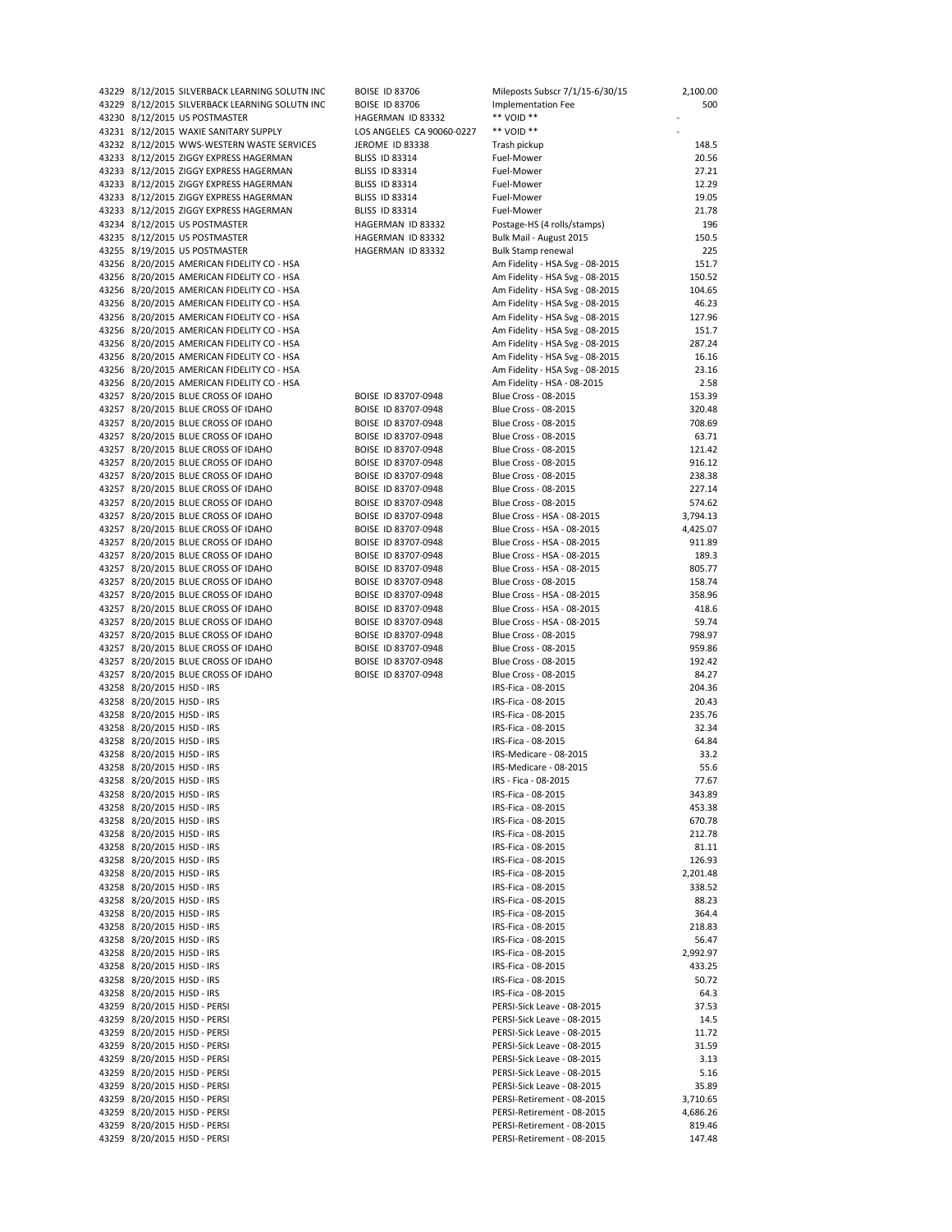|                            | 43229 8/12/2015 SILVERBACK LEARNING SOLUTN INC | <b>BOISE ID 83706</b> |
|----------------------------|------------------------------------------------|-----------------------|
|                            | 43229 8/12/2015 SILVERBACK LEARNING SOLUTN INC | <b>BOISE ID 83706</b> |
|                            | 43230 8/12/2015 US POSTMASTER                  | HAGERMAN ID 83332     |
|                            | 43231 8/12/2015 WAXIE SANITARY SUPPLY          | LOS ANGELES CA 90060- |
|                            | 43232 8/12/2015 WWS-WESTERN WASTE SERVICES     | JEROME ID 83338       |
|                            | 43233 8/12/2015 ZIGGY EXPRESS HAGERMAN         | <b>BLISS ID 83314</b> |
|                            | 43233 8/12/2015 ZIGGY EXPRESS HAGERMAN         | <b>BLISS ID 83314</b> |
|                            | 43233 8/12/2015 ZIGGY EXPRESS HAGERMAN         | <b>BLISS ID 83314</b> |
|                            | 43233 8/12/2015 ZIGGY EXPRESS HAGERMAN         | <b>BLISS ID 83314</b> |
|                            | 43233 8/12/2015 ZIGGY EXPRESS HAGERMAN         | BLISS ID 83314        |
|                            | 43234 8/12/2015 US POSTMASTER                  | HAGERMAN ID 83332     |
|                            | 43235 8/12/2015 US POSTMASTER                  | HAGERMAN ID 83332     |
|                            | 43255 8/19/2015 US POSTMASTER                  | HAGERMAN ID 83332     |
|                            | 43256 8/20/2015 AMERICAN FIDELITY CO - HSA     |                       |
|                            | 43256 8/20/2015 AMERICAN FIDELITY CO - HSA     |                       |
|                            | 43256 8/20/2015 AMERICAN FIDELITY CO - HSA     |                       |
|                            | 43256 8/20/2015 AMERICAN FIDELITY CO - HSA     |                       |
|                            | 43256 8/20/2015 AMERICAN FIDELITY CO - HSA     |                       |
|                            | 43256 8/20/2015 AMERICAN FIDELITY CO - HSA     |                       |
|                            | 43256 8/20/2015 AMERICAN FIDELITY CO - HSA     |                       |
|                            | 43256 8/20/2015 AMERICAN FIDELITY CO - HSA     |                       |
|                            | 43256 8/20/2015 AMERICAN FIDELITY CO - HSA     |                       |
|                            | 43256 8/20/2015 AMERICAN FIDELITY CO - HSA     |                       |
|                            | 43257 8/20/2015 BLUE CROSS OF IDAHO            | BOISE ID 83707-0948   |
|                            | 43257 8/20/2015 BLUE CROSS OF IDAHO            | BOISE ID 83707-0948   |
|                            | 43257 8/20/2015 BLUE CROSS OF IDAHO            | BOISE ID 83707-0948   |
|                            | 43257 8/20/2015 BLUE CROSS OF IDAHO            | BOISE ID 83707-0948   |
|                            | 43257 8/20/2015 BLUE CROSS OF IDAHO            | BOISE ID 83707-0948   |
|                            | 43257 8/20/2015 BLUE CROSS OF IDAHO            | BOISE ID 83707-0948   |
|                            | 43257 8/20/2015 BLUE CROSS OF IDAHO            | BOISE ID 83707-0948   |
|                            | 43257 8/20/2015 BLUE CROSS OF IDAHO            | BOISE ID 83707-0948   |
|                            | 43257 8/20/2015 BLUE CROSS OF IDAHO            | BOISE ID 83707-0948   |
|                            | 43257 8/20/2015 BLUE CROSS OF IDAHO            | BOISE ID 83707-0948   |
|                            | 43257 8/20/2015 BLUE CROSS OF IDAHO            | BOISE ID 83707-0948   |
|                            | 43257 8/20/2015 BLUE CROSS OF IDAHO            | BOISE ID 83707-0948   |
|                            | 43257 8/20/2015 BLUE CROSS OF IDAHO            | BOISE ID 83707-0948   |
|                            | 43257 8/20/2015 BLUE CROSS OF IDAHO            | BOISE ID 83707-0948   |
|                            | 43257 8/20/2015 BLUE CROSS OF IDAHO            | BOISE ID 83707-0948   |
|                            | 43257 8/20/2015 BLUE CROSS OF IDAHO            | BOISE ID 83707-0948   |
|                            | 43257 8/20/2015 BLUE CROSS OF IDAHO            | BOISE ID 83707-0948   |
|                            | 43257 8/20/2015 BLUE CROSS OF IDAHO            | BOISE ID 83707-0948   |
|                            | 43257 8/20/2015 BLUE CROSS OF IDAHO            | BOISE ID 83707-0948   |
|                            | 43257 8/20/2015 BLUE CROSS OF IDAHO            | BOISE ID 83707-0948   |
|                            | 43257 8/20/2015 BLUE CROSS OF IDAHO            | BOISE ID 83707-0948   |
|                            | 43257 8/20/2015 BLUE CROSS OF IDAHO            | BOISE ID 83707-0948   |
| 43258 8/20/2015 HJSD - IRS |                                                |                       |
| 43258 8/20/2015 HJSD - IRS |                                                |                       |
| 43258 8/20/2015 HJSD - IRS |                                                |                       |
| 43258 8/20/2015 HJSD - IRS |                                                |                       |
| 43258 8/20/2015 HJSD - IRS |                                                |                       |
| 43258 8/20/2015 HJSD - IRS |                                                |                       |
| 43258 8/20/2015 HJSD - IRS |                                                |                       |
| 43258 8/20/2015 HJSD - IRS |                                                |                       |
| 43258 8/20/2015 HJSD - IRS |                                                |                       |
| 43258 8/20/2015 HJSD - IRS |                                                |                       |
| 43258 8/20/2015 HJSD - IRS |                                                |                       |
| 43258 8/20/2015 HJSD - IRS |                                                |                       |
| 43258 8/20/2015 HJSD - IRS |                                                |                       |
| 43258 8/20/2015 HJSD - IRS |                                                |                       |
| 43258 8/20/2015 HJSD - IRS |                                                |                       |
| 43258 8/20/2015 HJSD - IRS |                                                |                       |
| 43258 8/20/2015 HJSD - IRS |                                                |                       |
| 43258 8/20/2015 HJSD - IRS |                                                |                       |
| 43258 8/20/2015 HJSD - IRS |                                                |                       |
| 43258 8/20/2015 HJSD - IRS |                                                |                       |
| 43258 8/20/2015 HJSD - IRS |                                                |                       |
| 43258 8/20/2015 HJSD - IRS |                                                |                       |
| 43258 8/20/2015 HJSD - IRS |                                                |                       |
| 43258 8/20/2015 HJSD - IRS |                                                |                       |
|                            | 43259 8/20/2015 HJSD - PERSI                   |                       |
|                            | 43259 8/20/2015 HJSD - PERSI                   |                       |
|                            | 43259 8/20/2015 HJSD - PERSI                   |                       |
|                            | 43259 8/20/2015 HJSD - PERSI                   |                       |
|                            | 43259 8/20/2015 HJSD - PERSI                   |                       |
|                            | 43259 8/20/2015 HJSD - PERSI                   |                       |
|                            | 43259 8/20/2015 HJSD - PERSI                   |                       |
|                            | 43259 8/20/2015 HJSD - PERSI                   |                       |
|                            | 43259 8/20/2015 HJSD - PERSI                   |                       |
|                            | 43259 8/20/2015 HJSD - PERSI                   |                       |
|                            | 13250 8/20/2015 HISD - DERSI                   |                       |

| 43229 8/12/2015 SILVERBACK LEARNING SOLUTN INC | <b>BOISE ID 83706</b>     | Mileposts Subscr 7/1/15-6/30/15 | 2,100.00 |
|------------------------------------------------|---------------------------|---------------------------------|----------|
| 43229 8/12/2015 SILVERBACK LEARNING SOLUTN INC | <b>BOISE ID 83706</b>     | Implementation Fee              | 500      |
| 43230 8/12/2015 US POSTMASTER                  | HAGERMAN ID 83332         | ** VOID **                      |          |
| 43231 8/12/2015 WAXIE SANITARY SUPPLY          | LOS ANGELES CA 90060-0227 | ** VOID **                      |          |
|                                                |                           |                                 |          |
| 43232 8/12/2015 WWS-WESTERN WASTE SERVICES     | JEROME ID 83338           | Trash pickup                    | 148.5    |
| 43233 8/12/2015 ZIGGY EXPRESS HAGERMAN         | <b>BLISS ID 83314</b>     | Fuel-Mower                      | 20.56    |
| 43233 8/12/2015 ZIGGY EXPRESS HAGERMAN         | <b>BLISS ID 83314</b>     | Fuel-Mower                      | 27.21    |
| 43233 8/12/2015 ZIGGY EXPRESS HAGERMAN         | <b>BLISS ID 83314</b>     | Fuel-Mower                      | 12.29    |
|                                                |                           |                                 |          |
| 43233 8/12/2015 ZIGGY EXPRESS HAGERMAN         | <b>BLISS ID 83314</b>     | Fuel-Mower                      | 19.05    |
| 43233 8/12/2015 ZIGGY EXPRESS HAGERMAN         | <b>BLISS ID 83314</b>     | Fuel-Mower                      | 21.78    |
| 43234 8/12/2015 US POSTMASTER                  | HAGERMAN ID 83332         | Postage-HS (4 rolls/stamps)     | 196      |
| 43235 8/12/2015 US POSTMASTER                  | HAGERMAN ID 83332         | Bulk Mail - August 2015         | 150.5    |
|                                                |                           |                                 |          |
| 43255 8/19/2015 US POSTMASTER                  | HAGERMAN ID 83332         | <b>Bulk Stamp renewal</b>       | 225      |
| 43256 8/20/2015 AMERICAN FIDELITY CO - HSA     |                           | Am Fidelity - HSA Svg - 08-2015 | 151.7    |
| 43256 8/20/2015 AMERICAN FIDELITY CO - HSA     |                           | Am Fidelity - HSA Svg - 08-2015 | 150.52   |
| 43256 8/20/2015 AMERICAN FIDELITY CO - HSA     |                           | Am Fidelity - HSA Svg - 08-2015 | 104.65   |
|                                                |                           |                                 |          |
| 43256 8/20/2015 AMERICAN FIDELITY CO - HSA     |                           | Am Fidelity - HSA Svg - 08-2015 | 46.23    |
| 43256 8/20/2015 AMERICAN FIDELITY CO - HSA     |                           | Am Fidelity - HSA Svg - 08-2015 | 127.96   |
| 43256 8/20/2015 AMERICAN FIDELITY CO - HSA     |                           | Am Fidelity - HSA Svg - 08-2015 | 151.7    |
| 43256 8/20/2015 AMERICAN FIDELITY CO - HSA     |                           | Am Fidelity - HSA Svg - 08-2015 | 287.24   |
|                                                |                           |                                 |          |
| 43256 8/20/2015 AMERICAN FIDELITY CO - HSA     |                           | Am Fidelity - HSA Svg - 08-2015 | 16.16    |
| 43256 8/20/2015 AMERICAN FIDELITY CO - HSA     |                           | Am Fidelity - HSA Svg - 08-2015 | 23.16    |
| 43256 8/20/2015 AMERICAN FIDELITY CO - HSA     |                           | Am Fidelity - HSA - 08-2015     | 2.58     |
| 43257 8/20/2015 BLUE CROSS OF IDAHO            |                           | Blue Cross - 08-2015            | 153.39   |
|                                                | BOISE ID 83707-0948       |                                 |          |
| 43257 8/20/2015 BLUE CROSS OF IDAHO            | BOISE ID 83707-0948       | Blue Cross - 08-2015            | 320.48   |
| 43257 8/20/2015 BLUE CROSS OF IDAHO            | BOISE ID 83707-0948       | Blue Cross - 08-2015            | 708.69   |
| 43257 8/20/2015 BLUE CROSS OF IDAHO            | BOISE ID 83707-0948       | Blue Cross - 08-2015            | 63.71    |
|                                                |                           |                                 |          |
| 43257 8/20/2015 BLUE CROSS OF IDAHO            | BOISE ID 83707-0948       | Blue Cross - 08-2015            | 121.42   |
| 43257 8/20/2015 BLUE CROSS OF IDAHO            | BOISE ID 83707-0948       | Blue Cross - 08-2015            | 916.12   |
| 43257 8/20/2015 BLUE CROSS OF IDAHO            | BOISE ID 83707-0948       | Blue Cross - 08-2015            | 238.38   |
| 43257 8/20/2015 BLUE CROSS OF IDAHO            |                           | Blue Cross - 08-2015            | 227.14   |
|                                                | BOISE ID 83707-0948       |                                 |          |
| 43257 8/20/2015 BLUE CROSS OF IDAHO            | BOISE ID 83707-0948       | Blue Cross - 08-2015            | 574.62   |
| 43257 8/20/2015 BLUE CROSS OF IDAHO            | BOISE ID 83707-0948       | Blue Cross - HSA - 08-2015      | 3,794.13 |
| 43257 8/20/2015 BLUE CROSS OF IDAHO            | BOISE ID 83707-0948       | Blue Cross - HSA - 08-2015      | 4,425.07 |
|                                                |                           |                                 |          |
| 43257 8/20/2015 BLUE CROSS OF IDAHO            | BOISE ID 83707-0948       | Blue Cross - HSA - 08-2015      | 911.89   |
| 43257 8/20/2015 BLUE CROSS OF IDAHO            | BOISE ID 83707-0948       | Blue Cross - HSA - 08-2015      | 189.3    |
| 43257 8/20/2015 BLUE CROSS OF IDAHO            | BOISE ID 83707-0948       | Blue Cross - HSA - 08-2015      | 805.77   |
| 43257 8/20/2015 BLUE CROSS OF IDAHO            | BOISE ID 83707-0948       | Blue Cross - 08-2015            | 158.74   |
|                                                |                           |                                 |          |
| 43257 8/20/2015 BLUE CROSS OF IDAHO            | BOISE ID 83707-0948       | Blue Cross - HSA - 08-2015      | 358.96   |
| 43257 8/20/2015 BLUE CROSS OF IDAHO            | BOISE ID 83707-0948       | Blue Cross - HSA - 08-2015      | 418.6    |
| 43257 8/20/2015 BLUE CROSS OF IDAHO            | BOISE ID 83707-0948       | Blue Cross - HSA - 08-2015      | 59.74    |
| 43257 8/20/2015 BLUE CROSS OF IDAHO            |                           |                                 | 798.97   |
|                                                | BOISE ID 83707-0948       | Blue Cross - 08-2015            |          |
| 43257 8/20/2015 BLUE CROSS OF IDAHO            | BOISE ID 83707-0948       | Blue Cross - 08-2015            | 959.86   |
| 43257 8/20/2015 BLUE CROSS OF IDAHO            | BOISE ID 83707-0948       | Blue Cross - 08-2015            | 192.42   |
| 43257 8/20/2015 BLUE CROSS OF IDAHO            | BOISE ID 83707-0948       | Blue Cross - 08-2015            | 84.27    |
|                                                |                           |                                 |          |
| 43258 8/20/2015 HJSD - IRS                     |                           | IRS-Fica - 08-2015              | 204.36   |
| 43258 8/20/2015 HJSD - IRS                     |                           | IRS-Fica - 08-2015              | 20.43    |
| 43258 8/20/2015 HJSD - IRS                     |                           | IRS-Fica - 08-2015              | 235.76   |
| 43258 8/20/2015 HJSD - IRS                     |                           | IRS-Fica - 08-2015              | 32.34    |
|                                                |                           |                                 |          |
| 43258 8/20/2015 HJSD - IRS                     |                           | IRS-Fica - 08-2015              | 64.84    |
| 43258 8/20/2015 HJSD - IRS                     |                           | IRS-Medicare - 08-2015          | 33.2     |
| 43258 8/20/2015 HJSD - IRS                     |                           | IRS-Medicare - 08-2015          | 55.6     |
|                                                |                           |                                 |          |
| 43258 8/20/2015 HJSD - IRS                     |                           | IRS - Fica - 08-2015            | 77.67    |
| 43258 8/20/2015 HJSD - IRS                     |                           | IRS-Fica - 08-2015              | 343.89   |
| 43258 8/20/2015 HJSD - IRS                     |                           | IRS-Fica - 08-2015              | 453.38   |
| 43258 8/20/2015 HJSD - IRS                     |                           | IRS-Fica - 08-2015              | 670.78   |
|                                                |                           |                                 |          |
| 43258 8/20/2015 HJSD - IRS                     |                           | IRS-Fica - 08-2015              | 212.78   |
| 43258 8/20/2015 HJSD - IRS                     |                           | IRS-Fica - 08-2015              | 81.11    |
| 43258 8/20/2015 HJSD - IRS                     |                           | IRS-Fica - 08-2015              | 126.93   |
| 43258 8/20/2015 HJSD - IRS                     |                           | IRS-Fica - 08-2015              | 2,201.48 |
|                                                |                           |                                 |          |
| 43258 8/20/2015 HJSD - IRS                     |                           | IRS-Fica - 08-2015              | 338.52   |
| 43258 8/20/2015 HJSD - IRS                     |                           | IRS-Fica - 08-2015              | 88.23    |
| 43258 8/20/2015 HJSD - IRS                     |                           | IRS-Fica - 08-2015              | 364.4    |
|                                                |                           |                                 |          |
| 43258 8/20/2015 HJSD - IRS                     |                           | IRS-Fica - 08-2015              | 218.83   |
| 43258 8/20/2015 HJSD - IRS                     |                           | IRS-Fica - 08-2015              | 56.47    |
| 43258 8/20/2015 HJSD - IRS                     |                           | IRS-Fica - 08-2015              | 2,992.97 |
| 43258 8/20/2015 HJSD - IRS                     |                           | IRS-Fica - 08-2015              | 433.25   |
|                                                |                           |                                 |          |
| 43258 8/20/2015 HJSD - IRS                     |                           | IRS-Fica - 08-2015              | 50.72    |
| 43258 8/20/2015 HJSD - IRS                     |                           | IRS-Fica - 08-2015              | 64.3     |
| 43259 8/20/2015 HJSD - PERSI                   |                           | PERSI-Sick Leave - 08-2015      | 37.53    |
|                                                |                           |                                 |          |
| 43259 8/20/2015 HJSD - PERSI                   |                           | PERSI-Sick Leave - 08-2015      | 14.5     |
| 43259 8/20/2015 HJSD - PERSI                   |                           | PERSI-Sick Leave - 08-2015      | 11.72    |
| 43259 8/20/2015 HJSD - PERSI                   |                           | PERSI-Sick Leave - 08-2015      | 31.59    |
| 43259 8/20/2015 HJSD - PERSI                   |                           | PERSI-Sick Leave - 08-2015      | 3.13     |
|                                                |                           |                                 |          |
| 43259 8/20/2015 HJSD - PERSI                   |                           | PERSI-Sick Leave - 08-2015      | 5.16     |
| 43259 8/20/2015 HJSD - PERSI                   |                           | PERSI-Sick Leave - 08-2015      | 35.89    |
| 43259 8/20/2015 HJSD - PERSI                   |                           | PERSI-Retirement - 08-2015      | 3,710.65 |
| 43259 8/20/2015 HJSD - PERSI                   |                           | PERSI-Retirement - 08-2015      | 4,686.26 |
|                                                |                           |                                 |          |
| 43259 8/20/2015 HJSD - PERSI                   |                           | PERSI-Retirement - 08-2015      | 819.46   |
| 43259 8/20/2015 HJSD - PERSI                   |                           | PERSI-Retirement - 08-2015      | 147.48   |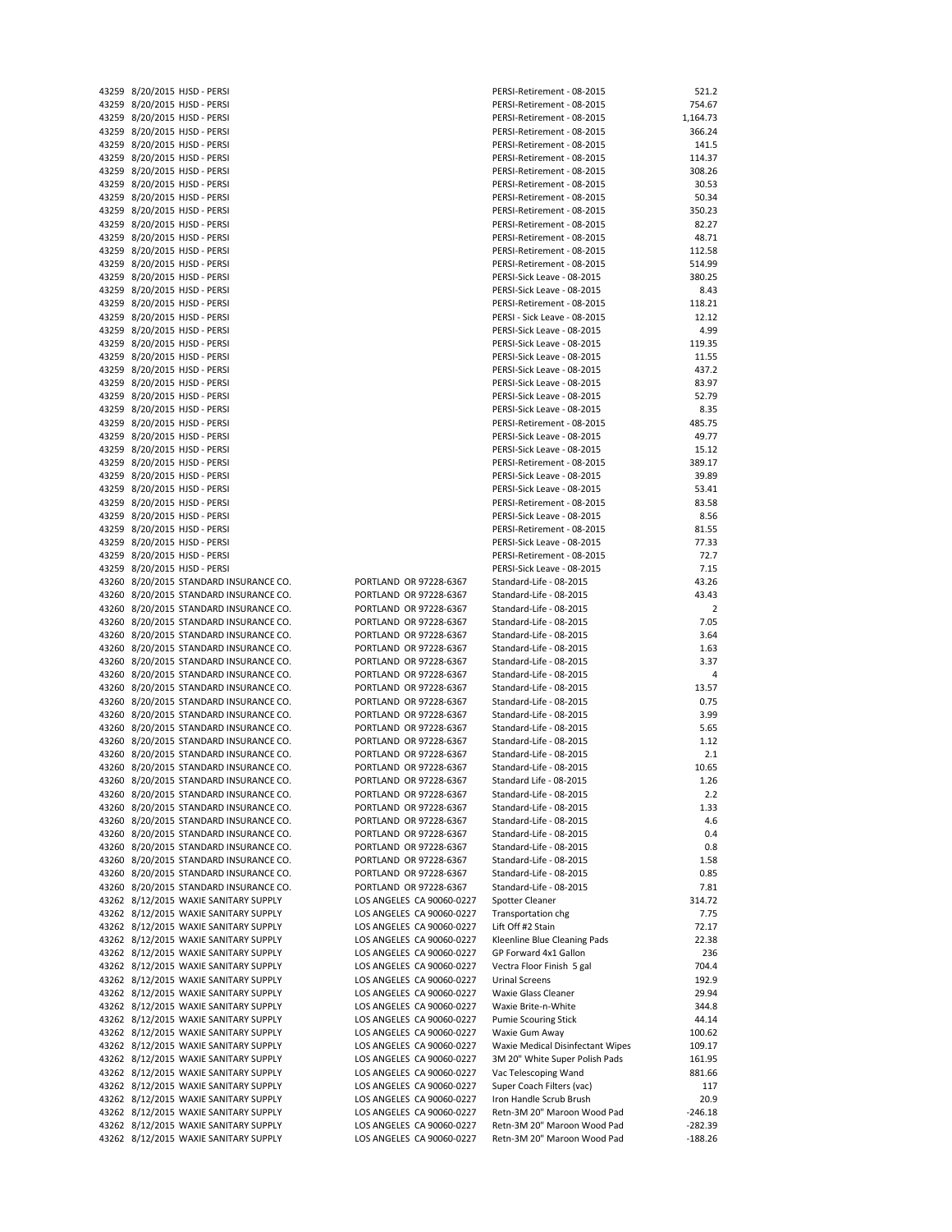| 43259<br>8/20/2015 HJSD - PERSI<br>8/20/2015 HJSD - PERSI<br>43259<br>43259<br>8/20/2015 HJSD - PERSI<br>43259<br>8/20/2015 HJSD - PERSI<br>8/20/2015 HJSD - PERSI<br>43259<br>43259<br>8/20/2015 HJSD - PERSI<br>43259<br>8/20/2015 HJSD - PERSI<br>8/20/2015 HJSD - PERSI<br>43259<br>43259<br>8/20/2015 HJSD - PERSI<br>43259<br>8/20/2015 HJSD - PERSI<br>8/20/2015 HJSD - PERSI<br>43259<br>8/20/2015 HJSD - PERSI<br>43259 |  |
|----------------------------------------------------------------------------------------------------------------------------------------------------------------------------------------------------------------------------------------------------------------------------------------------------------------------------------------------------------------------------------------------------------------------------------|--|
|                                                                                                                                                                                                                                                                                                                                                                                                                                  |  |
|                                                                                                                                                                                                                                                                                                                                                                                                                                  |  |
|                                                                                                                                                                                                                                                                                                                                                                                                                                  |  |
|                                                                                                                                                                                                                                                                                                                                                                                                                                  |  |
|                                                                                                                                                                                                                                                                                                                                                                                                                                  |  |
|                                                                                                                                                                                                                                                                                                                                                                                                                                  |  |
|                                                                                                                                                                                                                                                                                                                                                                                                                                  |  |
|                                                                                                                                                                                                                                                                                                                                                                                                                                  |  |
|                                                                                                                                                                                                                                                                                                                                                                                                                                  |  |
|                                                                                                                                                                                                                                                                                                                                                                                                                                  |  |
|                                                                                                                                                                                                                                                                                                                                                                                                                                  |  |
|                                                                                                                                                                                                                                                                                                                                                                                                                                  |  |
| 8/20/2015 HJSD - PERSI<br>43259                                                                                                                                                                                                                                                                                                                                                                                                  |  |
| 43259<br>8/20/2015 HJSD - PERSI                                                                                                                                                                                                                                                                                                                                                                                                  |  |
| 43259<br>8/20/2015 HJSD - PERSI                                                                                                                                                                                                                                                                                                                                                                                                  |  |
| 8/20/2015 HJSD - PERSI<br>43259                                                                                                                                                                                                                                                                                                                                                                                                  |  |
| 8/20/2015 HJSD - PERSI<br>43259                                                                                                                                                                                                                                                                                                                                                                                                  |  |
| 8/20/2015 HJSD - PERSI<br>43259<br>8/20/2015 HJSD - PERSI                                                                                                                                                                                                                                                                                                                                                                        |  |
| 43259<br>43259<br>8/20/2015 HJSD - PERSI                                                                                                                                                                                                                                                                                                                                                                                         |  |
| 8/20/2015 HJSD - PERSI<br>43259                                                                                                                                                                                                                                                                                                                                                                                                  |  |
| 43259<br>8/20/2015 HJSD - PERSI                                                                                                                                                                                                                                                                                                                                                                                                  |  |
| 8/20/2015 HJSD - PERSI<br>43259                                                                                                                                                                                                                                                                                                                                                                                                  |  |
| 8/20/2015 HJSD - PERSI<br>43259                                                                                                                                                                                                                                                                                                                                                                                                  |  |
| 43259<br>8/20/2015 HJSD - PERSI                                                                                                                                                                                                                                                                                                                                                                                                  |  |
| 43259<br>8/20/2015 HJSD - PERSI                                                                                                                                                                                                                                                                                                                                                                                                  |  |
| 8/20/2015 HJSD - PERSI<br>43259                                                                                                                                                                                                                                                                                                                                                                                                  |  |
| 43259<br>8/20/2015 HJSD - PERSI                                                                                                                                                                                                                                                                                                                                                                                                  |  |
| 43259<br>8/20/2015 HJSD - PERSI                                                                                                                                                                                                                                                                                                                                                                                                  |  |
| 43259<br>8/20/2015 HJSD - PERSI                                                                                                                                                                                                                                                                                                                                                                                                  |  |
| 8/20/2015 HJSD - PERSI<br>43259                                                                                                                                                                                                                                                                                                                                                                                                  |  |
| 8/20/2015 HJSD - PERSI<br>43259                                                                                                                                                                                                                                                                                                                                                                                                  |  |
| 43259<br>8/20/2015 HJSD - PERSI                                                                                                                                                                                                                                                                                                                                                                                                  |  |
| 43259<br>8/20/2015 HJSD - PERSI                                                                                                                                                                                                                                                                                                                                                                                                  |  |
| 8/20/2015 HJSD - PERSI<br>43259                                                                                                                                                                                                                                                                                                                                                                                                  |  |
| 43259<br>8/20/2015 HJSD - PERSI                                                                                                                                                                                                                                                                                                                                                                                                  |  |
| 8/20/2015 STANDARD INSURANCE CO<br>43260                                                                                                                                                                                                                                                                                                                                                                                         |  |
| 8/20/2015 STANDARD INSURANCE CO<br>43260                                                                                                                                                                                                                                                                                                                                                                                         |  |
| 43260<br>8/20/2015 STANDARD INSURANCE CO                                                                                                                                                                                                                                                                                                                                                                                         |  |
| 8/20/2015 STANDARD INSURANCE CO<br>43260                                                                                                                                                                                                                                                                                                                                                                                         |  |
| 8/20/2015 STANDARD INSURANCE CO<br>43260                                                                                                                                                                                                                                                                                                                                                                                         |  |
| 8/20/2015 STANDARD INSURANCE CO<br>43260                                                                                                                                                                                                                                                                                                                                                                                         |  |
|                                                                                                                                                                                                                                                                                                                                                                                                                                  |  |
| 8/20/2015 STANDARD INSURANCE CO                                                                                                                                                                                                                                                                                                                                                                                                  |  |
| 8/20/2015 STANDARD INSURANCE CO                                                                                                                                                                                                                                                                                                                                                                                                  |  |
| 8/20/2015 STANDARD INSURANCE CO<br>43260                                                                                                                                                                                                                                                                                                                                                                                         |  |
| 43260<br>43260<br>8/20/2015 STANDARD INSURANCE CO<br>43260                                                                                                                                                                                                                                                                                                                                                                       |  |
| 43260<br>8/20/2015 STANDARD INSURANCE CO                                                                                                                                                                                                                                                                                                                                                                                         |  |
| 8/20/2015 STANDARD INSURANCE CO                                                                                                                                                                                                                                                                                                                                                                                                  |  |
| 8/20/2015 STANDARD INSURANCE CO<br>43260                                                                                                                                                                                                                                                                                                                                                                                         |  |
| 8/20/2015 STANDARD INSURANCE CO                                                                                                                                                                                                                                                                                                                                                                                                  |  |
| 43260<br>43260<br>43260<br>8/20/2015 STANDARD INSURANCE CO                                                                                                                                                                                                                                                                                                                                                                       |  |
| 8/20/2015 STANDARD INSURANCE CO<br>43260                                                                                                                                                                                                                                                                                                                                                                                         |  |
| 8/20/2015<br>STANDARD INSURANCE CO<br>43260                                                                                                                                                                                                                                                                                                                                                                                      |  |
| STANDARD INSURANCE CO<br>43260<br>8/20/2015                                                                                                                                                                                                                                                                                                                                                                                      |  |
| 8/20/2015<br>STANDARD INSURANCE CO<br>43260                                                                                                                                                                                                                                                                                                                                                                                      |  |
| 43260<br>8/20/2015<br>STANDARD INSURANCE CO                                                                                                                                                                                                                                                                                                                                                                                      |  |
| STANDARD INSURANCE CO<br>43260<br>8/20/2015                                                                                                                                                                                                                                                                                                                                                                                      |  |
| STANDARD INSURANCE CO<br>43260<br>8/20/2015                                                                                                                                                                                                                                                                                                                                                                                      |  |
| STANDARD INSURANCE CO<br>43260<br>8/20/2015                                                                                                                                                                                                                                                                                                                                                                                      |  |
| STANDARD INSURANCE CO<br>43260<br>8/20/2015                                                                                                                                                                                                                                                                                                                                                                                      |  |
| WAXIE SANITARY SUPPLY<br>43262<br>8/12/2015                                                                                                                                                                                                                                                                                                                                                                                      |  |
| WAXIE SANITARY SUPPLY<br>43262<br>8/12/2015                                                                                                                                                                                                                                                                                                                                                                                      |  |
| <b>WAXIE SANITARY SUPPLY</b><br>43262<br>8/12/2015                                                                                                                                                                                                                                                                                                                                                                               |  |
| <b>WAXIE SANITARY SUPPLY</b><br>43262<br>8/12/2015                                                                                                                                                                                                                                                                                                                                                                               |  |
| <b>WAXIE SANITARY SUPPLY</b><br>43262<br>8/12/2015<br><b>WAXIE SANITARY SUPPLY</b><br>43262<br>8/12/2015                                                                                                                                                                                                                                                                                                                         |  |
| <b>WAXIE SANITARY SUPPLY</b><br>43262<br>8/12/2015                                                                                                                                                                                                                                                                                                                                                                               |  |
| <b>WAXIE SANITARY SUPPLY</b><br>43262<br>8/12/2015                                                                                                                                                                                                                                                                                                                                                                               |  |
| <b>WAXIE SANITARY SUPPLY</b><br>43262<br>8/12/2015                                                                                                                                                                                                                                                                                                                                                                               |  |
| <b>WAXIE SANITARY SUPPLY</b><br>43262<br>8/12/2015                                                                                                                                                                                                                                                                                                                                                                               |  |
| <b>WAXIE SANITARY SUPPLY</b><br>43262<br>8/12/2015                                                                                                                                                                                                                                                                                                                                                                               |  |
| <b>WAXIE SANITARY SUPPLY</b><br>43262<br>8/12/2015                                                                                                                                                                                                                                                                                                                                                                               |  |
| WAXIE SANITARY SUPPLY<br>43262<br>8/12/2015                                                                                                                                                                                                                                                                                                                                                                                      |  |
| 8/12/2015 WAXIE SANITARY SUPPLY<br>43262                                                                                                                                                                                                                                                                                                                                                                                         |  |
| 8/12/2015 WAXIE SANITARY SUPPLY<br>43262                                                                                                                                                                                                                                                                                                                                                                                         |  |
| 8/12/2015 WAXIE SANITARY SUPPLY<br>43262                                                                                                                                                                                                                                                                                                                                                                                         |  |
| 8/12/2015 WAXIE SANITARY SUPPLY<br>43262<br>8/12/2015 WAXIE SANITARY SUPPLY<br>43262                                                                                                                                                                                                                                                                                                                                             |  |

| 43259 8/20/2015 HJSD - PERSI           |                           | PERSI-Retirement - 08-2015       | 521.2     |
|----------------------------------------|---------------------------|----------------------------------|-----------|
| 43259 8/20/2015 HJSD - PERSI           |                           | PERSI-Retirement - 08-2015       | 754.67    |
| 43259 8/20/2015 HJSD - PERSI           |                           | PERSI-Retirement - 08-2015       | 1,164.73  |
|                                        |                           |                                  |           |
| 43259 8/20/2015 HJSD - PERSI           |                           | PERSI-Retirement - 08-2015       | 366.24    |
| 43259 8/20/2015 HJSD - PERSI           |                           | PERSI-Retirement - 08-2015       | 141.5     |
| 43259 8/20/2015 HJSD - PERSI           |                           | PERSI-Retirement - 08-2015       | 114.37    |
| 43259 8/20/2015 HJSD - PERSI           |                           | PERSI-Retirement - 08-2015       | 308.26    |
|                                        |                           |                                  |           |
| 43259 8/20/2015 HJSD - PERSI           |                           | PERSI-Retirement - 08-2015       | 30.53     |
| 43259 8/20/2015 HJSD - PERSI           |                           | PERSI-Retirement - 08-2015       | 50.34     |
| 43259 8/20/2015 HJSD - PERSI           |                           | PERSI-Retirement - 08-2015       | 350.23    |
| 43259 8/20/2015 HJSD - PERSI           |                           | PERSI-Retirement - 08-2015       | 82.27     |
|                                        |                           |                                  |           |
| 43259 8/20/2015 HJSD - PERSI           |                           | PERSI-Retirement - 08-2015       | 48.71     |
| 43259 8/20/2015 HJSD - PERSI           |                           | PERSI-Retirement - 08-2015       | 112.58    |
| 43259 8/20/2015 HJSD - PERSI           |                           | PERSI-Retirement - 08-2015       | 514.99    |
| 43259 8/20/2015 HJSD - PERSI           |                           | PERSI-Sick Leave - 08-2015       | 380.25    |
|                                        |                           |                                  |           |
| 43259 8/20/2015 HJSD - PERSI           |                           | PERSI-Sick Leave - 08-2015       | 8.43      |
| 43259 8/20/2015 HJSD - PERSI           |                           | PERSI-Retirement - 08-2015       | 118.21    |
| 43259 8/20/2015 HJSD - PERSI           |                           | PERSI - Sick Leave - 08-2015     | 12.12     |
|                                        |                           |                                  | 4.99      |
| 43259 8/20/2015 HJSD - PERSI           |                           | PERSI-Sick Leave - 08-2015       |           |
| 43259 8/20/2015 HJSD - PERSI           |                           | PERSI-Sick Leave - 08-2015       | 119.35    |
| 43259 8/20/2015 HJSD - PERSI           |                           | PERSI-Sick Leave - 08-2015       | 11.55     |
| 43259 8/20/2015 HJSD - PERSI           |                           | PERSI-Sick Leave - 08-2015       | 437.2     |
|                                        |                           |                                  |           |
| 43259 8/20/2015 HJSD - PERSI           |                           | PERSI-Sick Leave - 08-2015       | 83.97     |
| 43259 8/20/2015 HJSD - PERSI           |                           | PERSI-Sick Leave - 08-2015       | 52.79     |
| 43259 8/20/2015 HJSD - PERSI           |                           | PERSI-Sick Leave - 08-2015       | 8.35      |
| 43259 8/20/2015 HJSD - PERSI           |                           | PERSI-Retirement - 08-2015       | 485.75    |
|                                        |                           |                                  |           |
| 43259 8/20/2015 HJSD - PERSI           |                           | PERSI-Sick Leave - 08-2015       | 49.77     |
| 43259 8/20/2015 HJSD - PERSI           |                           | PERSI-Sick Leave - 08-2015       | 15.12     |
| 43259 8/20/2015 HJSD - PERSI           |                           | PERSI-Retirement - 08-2015       | 389.17    |
| 43259 8/20/2015 HJSD - PERSI           |                           | PERSI-Sick Leave - 08-2015       | 39.89     |
|                                        |                           |                                  |           |
| 43259 8/20/2015 HJSD - PERSI           |                           | PERSI-Sick Leave - 08-2015       | 53.41     |
| 43259 8/20/2015 HJSD - PERSI           |                           | PERSI-Retirement - 08-2015       | 83.58     |
| 43259 8/20/2015 HJSD - PERSI           |                           | PERSI-Sick Leave - 08-2015       | 8.56      |
|                                        |                           |                                  |           |
| 43259 8/20/2015 HJSD - PERSI           |                           | PERSI-Retirement - 08-2015       | 81.55     |
| 43259 8/20/2015 HJSD - PERSI           |                           | PERSI-Sick Leave - 08-2015       | 77.33     |
| 43259 8/20/2015 HJSD - PERSI           |                           | PERSI-Retirement - 08-2015       | 72.7      |
| 43259 8/20/2015 HJSD - PERSI           |                           | PERSI-Sick Leave - 08-2015       | 7.15      |
|                                        |                           |                                  |           |
| 43260 8/20/2015 STANDARD INSURANCE CO. | PORTLAND OR 97228-6367    | Standard-Life - 08-2015          | 43.26     |
| 43260 8/20/2015 STANDARD INSURANCE CO. | PORTLAND OR 97228-6367    | Standard-Life - 08-2015          | 43.43     |
| 43260 8/20/2015 STANDARD INSURANCE CO. | PORTLAND OR 97228-6367    | Standard-Life - 08-2015          | 2         |
| 43260 8/20/2015 STANDARD INSURANCE CO. | PORTLAND OR 97228-6367    | Standard-Life - 08-2015          | 7.05      |
|                                        |                           |                                  |           |
| 43260 8/20/2015 STANDARD INSURANCE CO. | PORTLAND OR 97228-6367    | Standard-Life - 08-2015          | 3.64      |
| 43260 8/20/2015 STANDARD INSURANCE CO. | PORTLAND OR 97228-6367    | Standard-Life - 08-2015          | 1.63      |
| 43260 8/20/2015 STANDARD INSURANCE CO. | PORTLAND OR 97228-6367    | Standard-Life - 08-2015          | 3.37      |
|                                        |                           |                                  |           |
| 43260 8/20/2015 STANDARD INSURANCE CO. | PORTLAND OR 97228-6367    | Standard-Life - 08-2015          | 4         |
| 43260 8/20/2015 STANDARD INSURANCE CO. | PORTLAND OR 97228-6367    | Standard-Life - 08-2015          | 13.57     |
| 43260 8/20/2015 STANDARD INSURANCE CO. | PORTLAND OR 97228-6367    | Standard-Life - 08-2015          | 0.75      |
| 43260 8/20/2015 STANDARD INSURANCE CO. | PORTLAND OR 97228-6367    | Standard-Life - 08-2015          | 3.99      |
|                                        |                           |                                  |           |
| 43260 8/20/2015 STANDARD INSURANCE CO. | PORTLAND OR 97228-6367    | Standard-Life - 08-2015          | 5.65      |
| 43260 8/20/2015 STANDARD INSURANCE CO. | PORTLAND OR 97228-6367    | Standard-Life - 08-2015          | 1.12      |
| 43260 8/20/2015 STANDARD INSURANCE CO. | PORTLAND OR 97228-6367    | Standard-Life - 08-2015          | 2.1       |
| 43260 8/20/2015 STANDARD INSURANCE CO. | PORTLAND OR 97228-6367    | Standard-Life - 08-2015          | 10.65     |
|                                        |                           |                                  |           |
| 43260 8/20/2015 STANDARD INSURANCE CO. | PORTLAND OR 97228-6367    | Standard Life - 08-2015          | 1.26      |
| 43260 8/20/2015 STANDARD INSURANCE CO. | PORTLAND OR 97228-6367    | Standard-Life - 08-2015          | 2.2       |
| 43260 8/20/2015 STANDARD INSURANCE CO. | PORTLAND OR 97228-6367    | Standard-Life - 08-2015          | 1.33      |
| 43260 8/20/2015 STANDARD INSURANCE CO. |                           | Standard-Life - 08-2015          |           |
|                                        | PORTLAND OR 97228-6367    |                                  | 4.6       |
| 43260 8/20/2015 STANDARD INSURANCE CO. | PORTLAND OR 97228-6367    | Standard-Life - 08-2015          | 0.4       |
| 43260 8/20/2015 STANDARD INSURANCE CO. | PORTLAND OR 97228-6367    | Standard-Life - 08-2015          | 0.8       |
| 43260 8/20/2015 STANDARD INSURANCE CO. | PORTLAND OR 97228-6367    | Standard-Life - 08-2015          | 1.58      |
|                                        |                           |                                  |           |
| 43260 8/20/2015 STANDARD INSURANCE CO. | PORTLAND OR 97228-6367    | Standard-Life - 08-2015          | 0.85      |
| 43260 8/20/2015 STANDARD INSURANCE CO. | PORTLAND OR 97228-6367    | Standard-Life - 08-2015          | 7.81      |
| 43262 8/12/2015 WAXIE SANITARY SUPPLY  | LOS ANGELES CA 90060-0227 | Spotter Cleaner                  | 314.72    |
| 43262 8/12/2015 WAXIE SANITARY SUPPLY  | LOS ANGELES CA 90060-0227 | Transportation chg               | 7.75      |
|                                        |                           |                                  |           |
| 43262 8/12/2015 WAXIE SANITARY SUPPLY  | LOS ANGELES CA 90060-0227 | Lift Off #2 Stain                | 72.17     |
| 43262 8/12/2015 WAXIE SANITARY SUPPLY  | LOS ANGELES CA 90060-0227 | Kleenline Blue Cleaning Pads     | 22.38     |
| 43262 8/12/2015 WAXIE SANITARY SUPPLY  | LOS ANGELES CA 90060-0227 | GP Forward 4x1 Gallon            | 236       |
|                                        |                           |                                  |           |
| 43262 8/12/2015 WAXIE SANITARY SUPPLY  | LOS ANGELES CA 90060-0227 | Vectra Floor Finish 5 gal        | 704.4     |
| 43262 8/12/2015 WAXIE SANITARY SUPPLY  | LOS ANGELES CA 90060-0227 | <b>Urinal Screens</b>            | 192.9     |
| 43262 8/12/2015 WAXIE SANITARY SUPPLY  | LOS ANGELES CA 90060-0227 | Waxie Glass Cleaner              | 29.94     |
| 43262 8/12/2015 WAXIE SANITARY SUPPLY  | LOS ANGELES CA 90060-0227 | Waxie Brite-n-White              | 344.8     |
|                                        |                           |                                  |           |
| 43262 8/12/2015 WAXIE SANITARY SUPPLY  | LOS ANGELES CA 90060-0227 | <b>Pumie Scouring Stick</b>      | 44.14     |
| 43262 8/12/2015 WAXIE SANITARY SUPPLY  | LOS ANGELES CA 90060-0227 | Waxie Gum Away                   | 100.62    |
| 43262 8/12/2015 WAXIE SANITARY SUPPLY  | LOS ANGELES CA 90060-0227 | Waxie Medical Disinfectant Wipes | 109.17    |
| 43262 8/12/2015 WAXIE SANITARY SUPPLY  |                           | 3M 20" White Super Polish Pads   |           |
|                                        | LOS ANGELES CA 90060-0227 |                                  | 161.95    |
| 43262 8/12/2015 WAXIE SANITARY SUPPLY  | LOS ANGELES CA 90060-0227 | Vac Telescoping Wand             | 881.66    |
| 43262 8/12/2015 WAXIE SANITARY SUPPLY  | LOS ANGELES CA 90060-0227 | Super Coach Filters (vac)        | 117       |
| 43262 8/12/2015 WAXIE SANITARY SUPPLY  | LOS ANGELES CA 90060-0227 | Iron Handle Scrub Brush          | 20.9      |
|                                        |                           |                                  |           |
| 43262 8/12/2015 WAXIE SANITARY SUPPLY  | LOS ANGELES CA 90060-0227 | Retn-3M 20" Maroon Wood Pad      | $-246.18$ |
| 43262 8/12/2015 WAXIE SANITARY SUPPLY  | LOS ANGELES CA 90060-0227 | Retn-3M 20" Maroon Wood Pad      | $-282.39$ |
|                                        |                           |                                  |           |